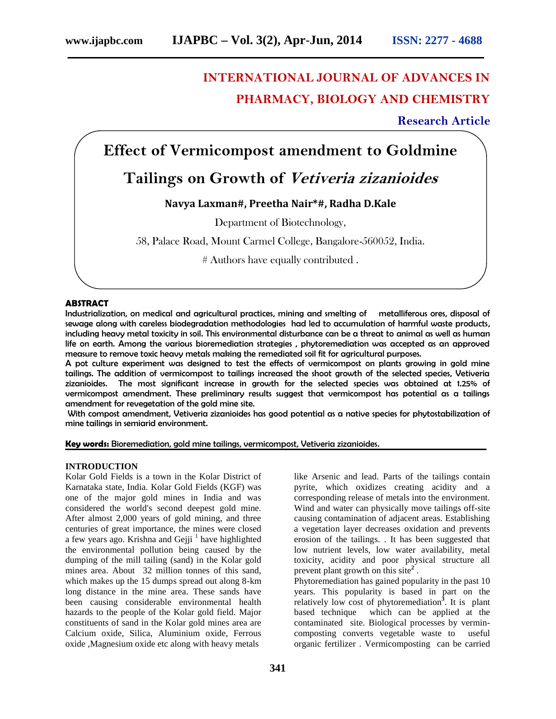# **INTERNATIONAL JOURNAL OF ADVANCES IN PHARMACY, BIOLOGY AND CHEMISTRY**

**Research Article**

# **Effect of Vermicompost amendment to Goldmine**

# **Tailings on Growth of** *Vetiveria zizanioides*

# **Navya Laxman#, Preetha Nair\*#, Radha D.Kale**

Department of Biotechnology,

58, Palace Road, Mount Carmel College, Bangalore-560052, India.

# Authors have equally contributed .

### **ABSTRACT**

Industrialization, on medical and agricultural practices, mining and smelting of metalliferous ores, disposal of sewage along with careless biodegradation methodologies had led to accumulation of harmful waste products, including heavy metal toxicity in soil. This environmental disturbance can be a threat to animal as well as human life on earth. Among the various bioremediation strategies , phytoremediation was accepted as an approved measure to remove toxic heavy metals making the remediated soil fit for agricultural purposes.

A pot culture experiment was designed to test the effects of vermicompost on plants growing in gold mine tailings. The addition of vermicompost to tailings increased the shoot growth of the selected species, Vetiveria zizanioides. The most significant increase in growth for the selected species was obtained at 1.25% of vermicompost amendment. These preliminary results suggest that vermicompost has potential as a tailings amendment for revegetation of the gold mine site.

With compost amendment, Vetiveria zizanioides has good potential as a native species for phytostabilization of mine tailings in semiarid environment.

**Key words:** Bioremediation, gold mine tailings, vermicompost, Vetiveria zizanioides.

### **INTRODUCTION**

Kolar Gold Fields is a town in the Kolar District of Karnataka state, India. Kolar Gold Fields (KGF) was one of the major gold mines in India and was considered the world's second deepest gold mine. After almost 2,000 years of gold mining, and three centuries of great importance, the mines were closed a few years ago. Krishna and Gejji<sup> $1$ </sup> have highlighted the environmental pollution being caused by the dumping of the mill tailing (sand) in the Kolar gold mines area. About 32 million tonnes of this sand, which makes up the 15 dumps spread out along 8-km long distance in the mine area. These sands have been causing considerable environmental health hazards to the people of the Kolar gold field. Major constituents of sand in the Kolar gold mines area are Calcium oxide, Silica, Aluminium oxide, Ferrous oxide ,Magnesium oxide etc along with heavy metals

like Arsenic and lead. Parts of the tailings contain pyrite, which oxidizes creating acidity and a corresponding release of metals into the environment. Wind and water can physically move tailings off-site causing contamination of adjacent areas. Establishing a vegetation layer decreases oxidation and prevents erosion of the tailings. . It has been suggested that low nutrient levels, low water availability, metal toxicity, acidity and poor physical structure all prevent plant growth on this site**<sup>2</sup>** .

Phytoremediation has gained popularity in the past 10 years. This popularity is based in part on the relatively low cost of phytoremediation**<sup>3</sup>** . It is plant based technique which can be applied at the contaminated site. Biological processes by vermincomposting converts vegetable waste to useful organic fertilizer . Vermicomposting can be carried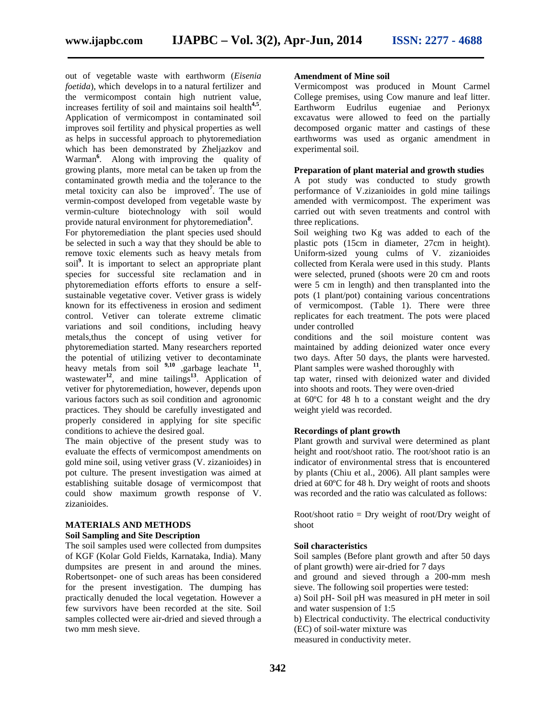out of vegetable waste with earthworm (*Eisenia foetida*), which develops in to a natural fertilizer and the vermicompost contain high nutrient value, increases fertility of soil and maintains soil health**4,5** . Application of vermicompost in contaminated soil improves soil fertility and physical properties as well as helps in successful approach to phytoremediation which has been demonstrated by Zheljazkov and Warman**<sup>6</sup>** . Along with improving the quality of growing plants, more metal can be taken up from the contaminated growth media and the tolerance to the metal toxicity can also be improved**<sup>7</sup>** . The use of vermin-compost developed from vegetable waste by vermin-culture biotechnology with soil would provide natural environment for phytoremediation**<sup>8</sup>** .

For phytoremediation the plant species used should be selected in such a way that they should be able to remove toxic elements such as heavy metals from soil**<sup>9</sup>** . It is important to select an appropriate plant species for successful site reclamation and in phytoremediation efforts efforts to ensure a self sustainable vegetative cover. Vetiver grass is widely known for its effectiveness in erosion and sediment control. Vetiver can tolerate extreme climatic variations and soil conditions, including heavy metals,thus the concept of using vetiver for phytoremediation started. Many researchers reported the potential of utilizing vetiver to decontaminate heavy metals from soil <sup>9,10</sup> ,garbage leachate <sup>11</sup>, wastewater**<sup>12</sup>** , and mine tailings**<sup>13</sup>** . Application of vetiver for phytoremediation, however, depends upon various factors such as soil condition and agronomic practices. They should be carefully investigated and properly considered in applying for site specific conditions to achieve the desired goal.

The main objective of the present study was to evaluate the effects of vermicompost amendments on gold mine soil, using vetiver grass (V. zizanioides) in pot culture. The present investigation was aimed at establishing suitable dosage of vermicompost that could show maximum growth response of V. zizanioides.

# **MATERIALS AND METHODS**

# **Soil Sampling and Site Description**

The soil samples used were collected from dumpsites of KGF (Kolar Gold Fields, Karnataka, India). Many dumpsites are present in and around the mines. Robertsonpet- one of such areas has been considered for the present investigation. The dumping has practically denuded the local vegetation. However a few survivors have been recorded at the site. Soil samples collected were air-dried and sieved through a two mm mesh sieve.

#### **Amendment of Mine soil**

Vermicompost was produced in Mount Carmel College premises, using Cow manure and leaf litter. Earthworm Eudrilus eugeniae and Perionyx excavatus were allowed to feed on the partially decomposed organic matter and castings of these earthworms was used as organic amendment in experimental soil.

## **Preparation of plant material and growth studies**

A pot study was conducted to study growth performance of V.zizanioides in gold mine tailings amended with vermicompost. The experiment was carried out with seven treatments and control with three replications.

Soil weighing two Kg was added to each of the plastic pots (15cm in diameter, 27cm in height). Uniform-sized young culms of V. zizanioides collected from Kerala were used in this study. Plants were selected, pruned (shoots were 20 cm and roots were 5 cm in length) and then transplanted into the pots (1 plant/pot) containing various concentrations of vermicompost. (Table 1). There were three replicates for each treatment. The pots were placed under controlled

conditions and the soil moisture content was maintained by adding deionized water once every two days. After 50 days, the plants were harvested. Plant samples were washed thoroughly with

tap water, rinsed with deionized water and divided into shoots and roots. They were oven-dried

at 60ºC for 48 h to a constant weight and the dry weight yield was recorded.

#### **Recordings of plant growth**

Plant growth and survival were determined as plant height and root/shoot ratio. The root/shoot ratio is an indicator of environmental stress that is encountered by plants (Chiu et al., 2006). All plant samples were dried at 60ºC for 48 h. Dry weight of roots and shoots was recorded and the ratio was calculated as follows:

Root/shoot ratio = Dry weight of root/Dry weight of shoot

## **Soil characteristics**

Soil samples (Before plant growth and after 50 days of plant growth) were air-dried for 7 days

and ground and sieved through a 200-mm mesh sieve. The following soil properties were tested:

a) Soil pH- Soil pH was measured in pH meter in soil and water suspension of 1:5

b) Electrical conductivity. The electrical conductivity (EC) of soil-water mixture was

measured in conductivity meter.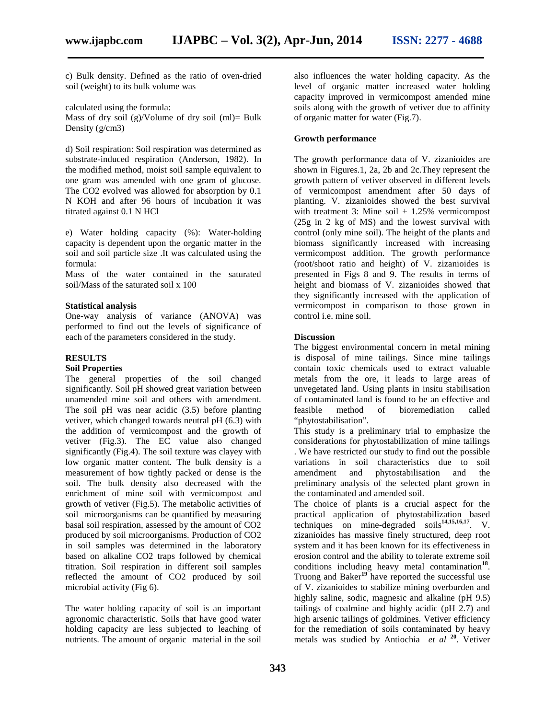c) Bulk density. Defined as the ratio of oven-dried soil (weight) to its bulk volume was

calculated using the formula:

Mass of dry soil (g)/Volume of dry soil (ml)= Bulk Density (g/cm3)

d) Soil respiration: Soil respiration was determined as substrate-induced respiration (Anderson, 1982). In the modified method, moist soil sample equivalent to one gram was amended with one gram of glucose. The CO2 evolved was allowed for absorption by 0.1 N KOH and after 96 hours of incubation it was titrated against 0.1 N HCl

e) Water holding capacity (%): Water-holding capacity is dependent upon the organic matter in the soil and soil particle size .It was calculated using the formula:

Mass of the water contained in the saturated soil/Mass of the saturated soil x 100

#### **Statistical analysis**

One-way analysis of variance (ANOVA) was performed to find out the levels of significance of each of the parameters considered in the study.

#### **RESULTS**

### **Soil Properties**

The general properties of the soil changed significantly. Soil pH showed great variation between unamended mine soil and others with amendment. The soil pH was near acidic (3.5) before planting feasible vetiver, which changed towards neutral pH (6.3) with the addition of vermicompost and the growth of vetiver (Fig.3). The EC value also changed significantly (Fig.4). The soil texture was clayey with low organic matter content. The bulk density is a measurement of how tightly packed or dense is the soil. The bulk density also decreased with the enrichment of mine soil with vermicompost and growth of vetiver (Fig.5). The metabolic activities of soil microorganisms can be quantified by measuring basal soil respiration, assessed by the amount of CO2 produced by soil microorganisms. Production of CO2 in soil samples was determined in the laboratory based on alkaline CO2 traps followed by chemical titration. Soil respiration in different soil samples reflected the amount of CO2 produced by soil microbial activity (Fig 6).

The water holding capacity of soil is an important agronomic characteristic. Soils that have good water holding capacity are less subjected to leaching of nutrients. The amount of organic material in the soil also influences the water holding capacity. As the level of organic matter increased water holding capacity improved in vermicompost amended mine soils along with the growth of vetiver due to affinity of organic matter for water (Fig.7).

#### **Growth performance**

The growth performance data of V. zizanioides are shown in Figures.1, 2a, 2b and 2c.They represent the growth pattern of vetiver observed in different levels of vermicompost amendment after 50 days of planting. V. zizanioides showed the best survival with treatment 3: Mine soil  $+1.25%$  vermicompost (25g in 2 kg of MS) and the lowest survival with control (only mine soil). The height of the plants and biomass significantly increased with increasing vermicompost addition. The growth performance (root/shoot ratio and height) of V. zizanioides is presented in Figs 8 and 9. The results in terms of height and biomass of V. zizanioides showed that they significantly increased with the application of vermicompost in comparison to those grown in control i.e. mine soil.

#### **Discussion**

The biggest environmental concern in metal mining is disposal of mine tailings. Since mine tailings contain toxic chemicals used to extract valuable metals from the ore, it leads to large areas of unvegetated land. Using plants in insitu stabilisation of contaminated land is found to be an effective and method of bioremediation called "phytostabilisation".

This study is a preliminary trial to emphasize the considerations for phytostabilization of mine tailings . We have restricted our study to find out the possible variations in soil characteristics due to soil amendment and phytostabilisation and the preliminary analysis of the selected plant grown in the contaminated and amended soil.

The choice of plants is a crucial aspect for the practical application of phytostabilization based techniques on mine-degraded soils**14,15,16,17** . V. zizanioides has massive finely structured, deep root system and it has been known for its effectiveness in erosion control and the ability to tolerate extreme soil conditions including heavy metal contamination**<sup>18</sup>** . Truong and Baker**<sup>19</sup>** have reported the successful use of V. zizanioides to stabilize mining overburden and highly saline, sodic, magnesic and alkaline (pH 9.5) tailings of coalmine and highly acidic (pH 2.7) and high arsenic tailings of goldmines. Vetiver efficiency for the remediation of soils contaminated by heavy metals was studied by Antiochia *et al* **<sup>20</sup>**. Vetiver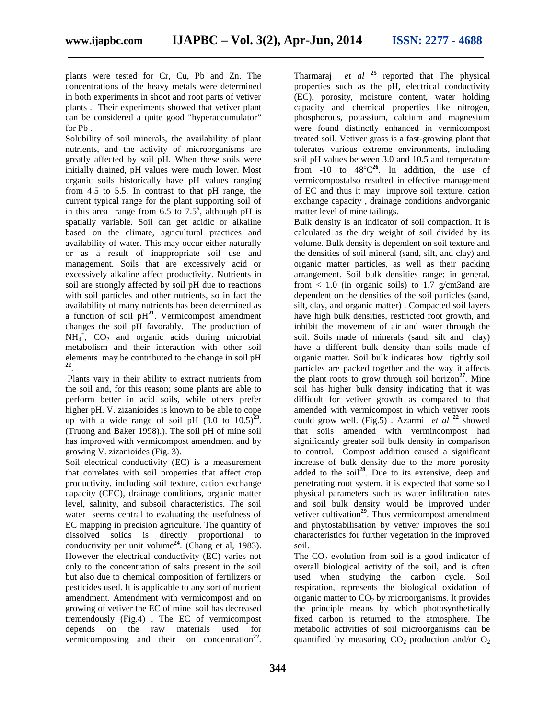plants were tested for Cr, Cu, Pb and Zn. The concentrations of the heavy metals were determined in both experiments in shoot and root parts of vetiver plants . Their experiments showed that vetiver plant can be considered a quite good "hyperaccumulator" for Pb .

Solubility of soil minerals, the availability of plant nutrients, and the activity of microorganisms are greatly affected by soil pH. When these soils were initially drained, pH values were much lower. Most organic soils historically have pH values ranging from 4.5 to 5.5. In contrast to that pH range, the current typical range for the plant supporting soil of in this area range from  $6.5$  to  $7.5^5$ , although pH is spatially variable. Soil can get acidic or alkaline based on the climate, agricultural practices and availability of water. This may occur either naturally or as a result of inappropriate soil use and management. Soils that are excessively acid or excessively alkaline affect productivity. Nutrients in soil are strongly affected by soil pH due to reactions with soil particles and other nutrients, so in fact the availability of many nutrients has been determined as a function of soil  $pH^{21}$ . Vermicompost amendment changes the soil pH favorably. The production of  $NH_4^+$ ,  $CO_2$  and organic acids during microbial metabolism and their interaction with other soil elements may be contributed to the change in soil pH **22** .

Plants vary in their ability to extract nutrients from the soil and, for this reason; some plants are able to perform better in acid soils, while others prefer higher pH. V. zizanioides is known to be able to cope up with a wide range of soil pH  $(3.0 \text{ to } 10.5)^{23}$ . . (Truong and Baker 1998).). The soil pH of mine soil has improved with vermicompost amendment and by growing V. zizanioides (Fig. 3).

Soil electrical conductivity (EC) is a measurement that correlates with soil properties that affect crop productivity, including soil texture, cation exchange capacity (CEC), drainage conditions, organic matter level, salinity, and subsoil characteristics. The soil water seems central to evaluating the usefulness of EC mapping in precision agriculture. The quantity of dissolved solids is directly proportional to conductivity per unit volume**<sup>24</sup>** . (Chang et al, 1983). However the electrical conductivity (EC) varies not only to the concentration of salts present in the soil but also due to chemical composition of fertilizers or pesticides used. It is applicable to any sort of nutrient amendment. Amendment with vermicompost and on growing of vetiver the EC of mine soil has decreased tremendously (Fig.4) . The EC of vermicompost depends on the raw materials used for vermicomposting and their ion concentration<sup>22</sup>.

Tharmaraj *et al* **<sup>25</sup>** reported that The physical properties such as the pH, electrical conductivity (EC), porosity, moisture content, water holding capacity and chemical properties like nitrogen, phosphorous, potassium, calcium and magnesium were found distinctly enhanced in vermicompost treated soil. Vetiver grass is a fast-growing plant that tolerates various extreme environments, including soil pH values between 3.0 and 10.5 and temperature from  $-10$  to  $48^{\circ}C^{26}$ . In addition, the use of vermicompostalso resulted in effective management of EC and thus it may improve soil texture, cation exchange capacity , drainage conditions andvorganic matter level of mine tailings.

Bulk density is an indicator of soil compaction. It is calculated as the dry weight of soil divided by its volume. Bulk density is dependent on soil texture and the densities of soil mineral (sand, silt, and clay) and organic matter particles, as well as their packing arrangement. Soil bulk densities range; in general, from  $< 1.0$  (in organic soils) to 1.7 g/cm3and are dependent on the densities of the soil particles (sand, silt, clay, and organic matter) . Compacted soil layers have high bulk densities, restricted root growth, and inhibit the movement of air and water through the soil. Soils made of minerals (sand, silt and clay) have a different bulk density than soils made of organic matter. Soil bulk indicates how tightly soil particles are packed together and the way it affects the plant roots to grow through soil horizon**<sup>27</sup>** . Mine soil has higher bulk density indicating that it was difficult for vetiver growth as compared to that amended with vermicompost in which vetiver roots could grow well. (Fig.5). Azarmi *et al*  $^{22}$  showed that soils amended with vermincompost had significantly greater soil bulk density in comparison to control. Compost addition caused a significant increase of bulk density due to the more porosity added to the soil<sup>28</sup>. Due to its extensive, deep and penetrating root system, it is expected that some soil physical parameters such as water infiltration rates and soil bulk density would be improved under vetiver cultivation**<sup>29</sup>** . Thus vermicompost amendment and phytostabilisation by vetiver improves the soil characteristics for further vegetation in the improved soil.

The  $CO<sub>2</sub>$  evolution from soil is a good indicator of overall biological activity of the soil, and is often used when studying the carbon cycle. Soil respiration, represents the biological oxidation of organic matter to  $CO<sub>2</sub>$  by microorganisms. It provides the principle means by which photosynthetically fixed carbon is returned to the atmosphere. The metabolic activities of soil microorganisms can be quantified by measuring  $CO_2$  production and/or  $O_2$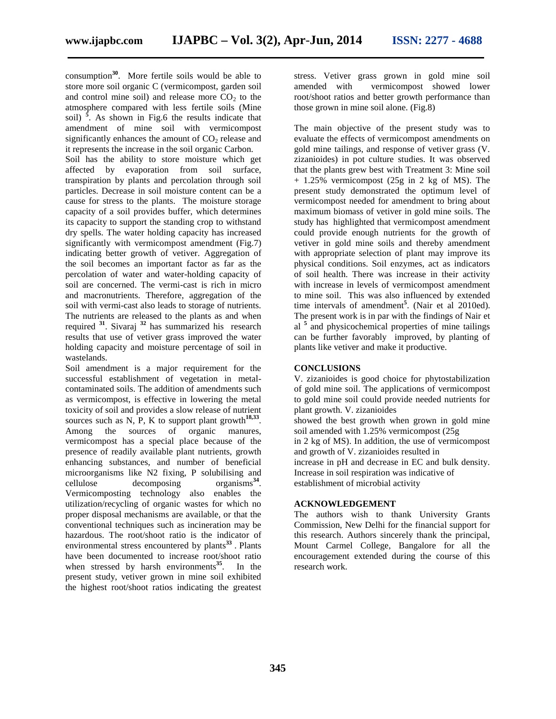consumption**<sup>30</sup>** . More fertile soils would be able to store more soil organic C (vermicompost, garden soil and control mine soil) and release more  $CO<sub>2</sub>$  to the atmosphere compared with less fertile soils (Mine soil)  $\frac{1}{2}$ . As shown in Fig.6 the results indicate that amendment of mine soil with vermicompost significantly enhances the amount of  $CO<sub>2</sub>$  release and it represents the increase in the soil organic Carbon.

Soil has the ability to store moisture which get affected by evaporation from soil surface, transpiration by plants and percolation through soil particles. Decrease in soil moisture content can be a cause for stress to the plants. The moisture storage capacity of a soil provides buffer, which determines its capacity to support the standing crop to withstand dry spells. The water holding capacity has increased significantly with vermicompost amendment (Fig.7) indicating better growth of vetiver. Aggregation of the soil becomes an important factor as far as the percolation of water and water-holding capacity of soil are concerned. The vermi-cast is rich in micro and macronutrients. Therefore, aggregation of the soil with vermi-cast also leads to storage of nutrients. The nutrients are released to the plants as and when required **<sup>31</sup>** . Sivaraj **<sup>32</sup>** has summarized his research results that use of vetiver grass improved the water holding capacity and moisture percentage of soil in wastelands.

Soil amendment is a major requirement for the successful establishment of vegetation in metal contaminated soils. The addition of amendments such as vermicompost, is effective in lowering the metal toxicity of soil and provides a slow release of nutrient sources such as N, P, K to support plant growth<sup>18,33</sup>. Among the sources of organic manures, vermicompost has a special place because of the presence of readily available plant nutrients, growth enhancing substances, and number of beneficial microorganisms like N2 fixing, P solubilising and cellulose decomposing  $organisms<sup>34</sup>$ . Vermicomposting technology also enables the utilization/recycling of organic wastes for which no proper disposal mechanisms are available, or that the conventional techniques such as incineration may be hazardous. The root/shoot ratio is the indicator of environmental stress encountered by plants**<sup>33</sup>** . Plants have been documented to increase root/shoot ratio when stressed by harsh environments<sup>35</sup>. In the present study, vetiver grown in mine soil exhibited the highest root/shoot ratios indicating the greatest

stress. Vetiver grass grown in gold mine soil amended with vermicompost showed lower root/shoot ratios and better growth performance than those grown in mine soil alone. (Fig.8)

The main objective of the present study was to evaluate the effects of vermicompost amendments on gold mine tailings, and response of vetiver grass (V. zizanioides) in pot culture studies. It was observed that the plants grew best with Treatment 3: Mine soil + 1.25% vermicompost (25g in 2 kg of MS). The present study demonstrated the optimum level of vermicompost needed for amendment to bring about maximum biomass of vetiver in gold mine soils. The study has highlighted that vermicompost amendment could provide enough nutrients for the growth of vetiver in gold mine soils and thereby amendment with appropriate selection of plant may improve its physical conditions. Soil enzymes, act as indicators of soil health. There was increase in their activity with increase in levels of vermicompost amendment to mine soil. This was also influenced by extended time intervals of amendment**<sup>5</sup>** . (Nair et al 2010ed). The present work is in par with the findings of Nair et al **<sup>5</sup>** and physicochemical properties of mine tailings can be further favorably improved, by planting of plants like vetiver and make it productive.

## **CONCLUSIONS**

V. zizanioides is good choice for phytostabilization of gold mine soil. The applications of vermicompost to gold mine soil could provide needed nutrients for plant growth. V. zizanioides showed the best growth when grown in gold mine soil amended with 1.25% vermicompost (25g in 2 kg of MS). In addition, the use of vermicompost and growth of V. zizanioides resulted in increase in pH and decrease in EC and bulk density. Increase in soil respiration was indicative of establishment of microbial activity

### **ACKNOWLEDGEMENT**

The authors wish to thank University Grants Commission, New Delhi for the financial support for this research. Authors sincerely thank the principal, Mount Carmel College, Bangalore for all the encouragement extended during the course of this research work.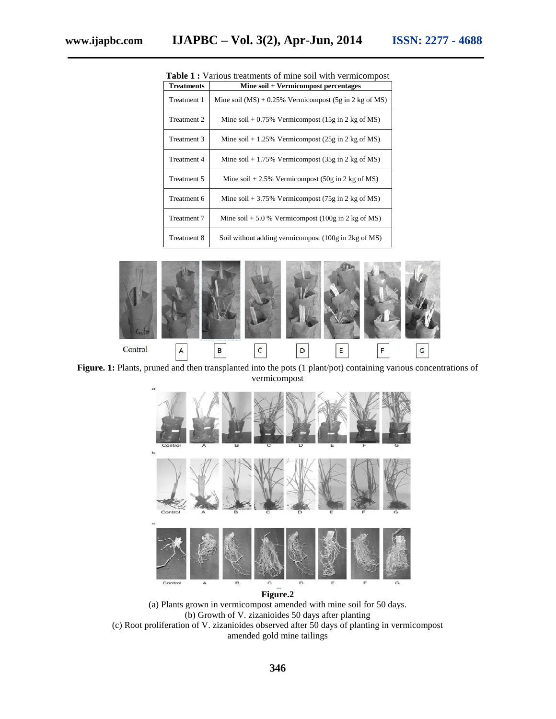| <b>Treatments</b> | Mine soil + Vermicompost percentages                                          |
|-------------------|-------------------------------------------------------------------------------|
| Treatment 1       | Mine soil $(MS) + 0.25\%$ Vermicompost $(5g \text{ in } 2 \text{ kg of } MS)$ |
| Treatment 2       | Mine soil + $0.75\%$ Vermicompost (15g in 2 kg of MS)                         |
| Treatment 3       | Mine soil + 1.25% Vermicompost (25g in 2 kg of MS)                            |
| Treatment 4       | Mine soil + 1.75% Vermicompost $(35g \text{ in } 2 \text{ kg of MS})$         |
| Treatment 5       | Mine soil + 2.5% Vermicompost (50g in 2 kg of MS)                             |
| Treatment 6       | Mine soil + 3.75% Vermicompost (75g in 2 kg of MS)                            |
| Treatment 7       | Mine soil + 5.0 % Vermicompost (100g in 2 kg of MS)                           |
| Treatment 8       | Soil without adding vermicompost (100g in 2kg of MS)                          |

**Table 1 :** Various treatments of mine soil with vermicompost



**Figure. 1:** Plants, pruned and then transplanted into the pots (1 plant/pot) containing various concentrations of vermicompost



(a) Plants grown in vermicompost amended with mine soil for 50 days. (b) Growth of V. zizanioides 50 days after planting (c) Root proliferation of V. zizanioides observed after 50 days of planting in vermicompost amended gold mine tailings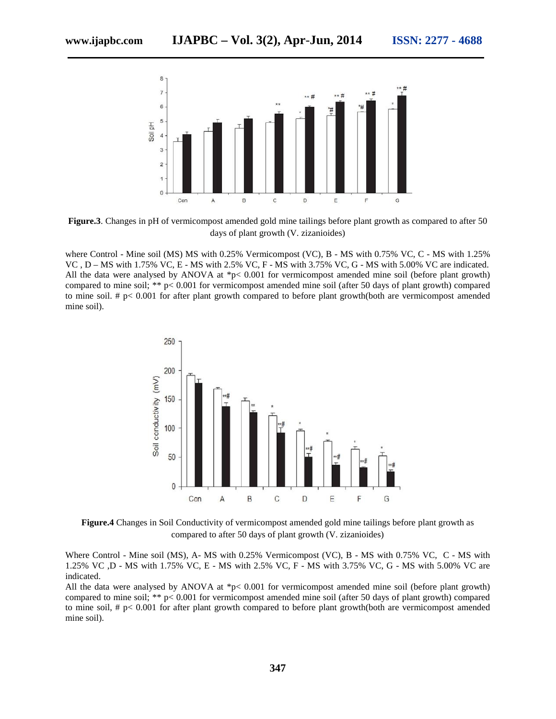

**Figure.3**. Changes in pH of vermicompost amended gold mine tailings before plant growth as compared to after 50 days of plant growth (V. zizanioides)

where Control - Mine soil (MS) MS with 0.25% Vermicompost (VC), B - MS with 0.75% VC, C - MS with 1.25% VC , D – MS with 1.75% VC, E - MS with 2.5% VC, F - MS with 3.75% VC, G - MS with 5.00% VC are indicated. All the data were analysed by ANOVA at \*p< 0.001 for vermicompost amended mine soil (before plant growth) compared to mine soil; \*\* p< 0.001 for vermicompost amended mine soil (after 50 days of plant growth) compared to mine soil. # p< 0.001 for after plant growth compared to before plant growth(both are vermicompost amended mine soil).



**Figure.4** Changes in Soil Conductivity of vermicompost amended gold mine tailings before plant growth as compared to after 50 days of plant growth (V. zizanioides)

Where Control - Mine soil (MS), A- MS with 0.25% Vermicompost (VC), B - MS with 0.75% VC, C - MS with 1.25% VC ,D - MS with 1.75% VC, E - MS with 2.5% VC, F - MS with 3.75% VC, G - MS with 5.00% VC are indicated.

All the data were analysed by ANOVA at \*p< 0.001 for vermicompost amended mine soil (before plant growth) compared to mine soil; \*\* p< 0.001 for vermicompost amended mine soil (after 50 days of plant growth) compared to mine soil, # p< 0.001 for after plant growth compared to before plant growth(both are vermicompost amended mine soil).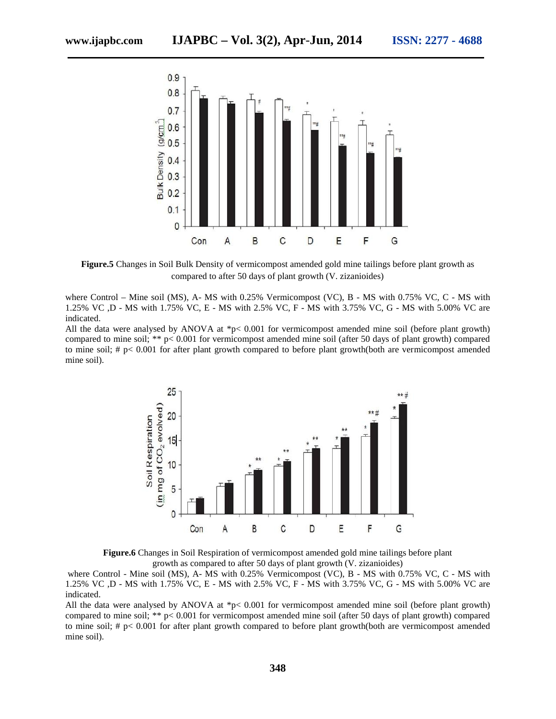

**Figure.5** Changes in Soil Bulk Density of vermicompost amended gold mine tailings before plant growth as compared to after 50 days of plant growth (V. zizanioides)

where Control – Mine soil (MS), A- MS with 0.25% Vermicompost (VC), B - MS with 0.75% VC, C - MS with 1.25% VC ,D -MS with 1.75% VC, E - MS with 2.5% VC, F - MS with 3.75% VC, G - MS with 5.00% VC are indicated.

All the data were analysed by ANOVA at \*p< 0.001 for vermicompost amended mine soil (before plant growth) compared to mine soil; \*\* p< 0.001 for vermicompost amended mine soil (after 50 days of plant growth) compared to mine soil; # p< 0.001 for after plant growth compared to before plant growth(both are vermicompost amended mine soil).



**Figure.6** Changes in Soil Respiration of vermicompost amended gold mine tailings before plant growth as compared to after 50 days of plant growth (V. zizanioides)

where Control - Mine soil (MS), A- MS with 0.25% Vermicompost (VC), B - MS with 0.75% VC, C - MS with 1.25% VC ,D - MS with 1.75% VC, E - MS with 2.5% VC, F - MS with 3.75% VC, G - MS with 5.00% VC are indicated.

All the data were analysed by ANOVA at \*p< 0.001 for vermicompost amended mine soil (before plant growth) compared to mine soil; \*\* p< 0.001 for vermicompost amended mine soil (after 50 days of plant growth) compared to mine soil; # p< 0.001 for after plant growth compared to before plant growth(both are vermicompost amended mine soil).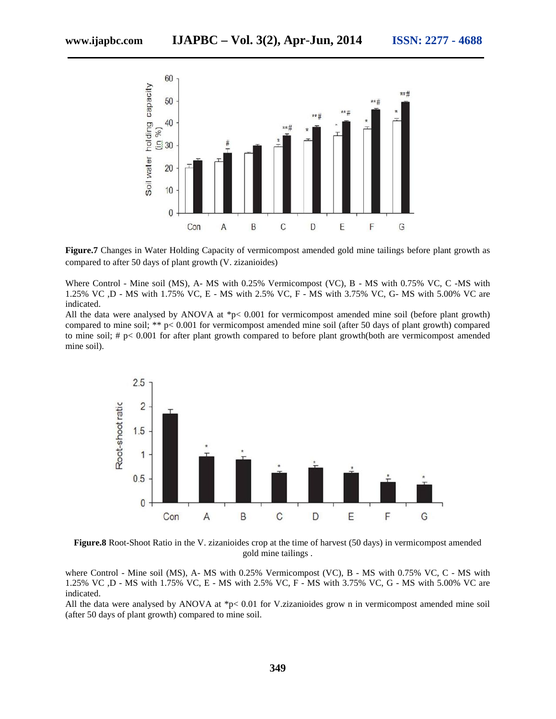

**Figure.7** Changes in Water Holding Capacity of vermicompost amended gold mine tailings before plant growth as compared to after 50 days of plant growth (V. zizanioides)

Where Control - Mine soil (MS), A- MS with 0.25% Vermicompost (VC), B - MS with 0.75% VC, C -MS with 1.25% VC ,D - MS with 1.75% VC, E - MS with 2.5% VC, F - MS with 3.75% VC, G- MS with 5.00% VC are indicated.

All the data were analysed by ANOVA at \*p< 0.001 for vermicompost amended mine soil (before plant growth) compared to mine soil; \*\* p< 0.001 for vermicompost amended mine soil (after 50 days of plant growth) compared to mine soil; # p< 0.001 for after plant growth compared to before plant growth(both are vermicompost amended mine soil).



**Figure.8** Root-Shoot Ratio in the V. zizanioides crop at the time of harvest (50 days) in vermicompost amended gold mine tailings .

where Control - Mine soil (MS), A- MS with 0.25% Vermicompost (VC), B - MS with 0.75% VC, C - MS with 1.25% VC ,D - MS with 1.75% VC, E - MS with 2.5% VC, F - MS with 3.75% VC, G -MS with 5.00% VC are indicated.

All the data were analysed by ANOVA at \*p< 0.01 for V.zizanioides grow n in vermicompost amended mine soil (after 50 days of plant growth) compared to mine soil.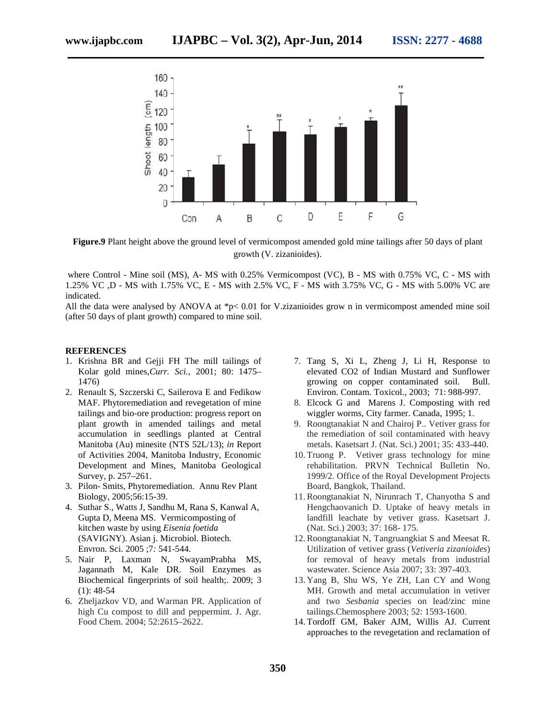

**Figure.9** Plant height above the ground level of vermicompost amended gold mine tailings after 50 days of plant growth (V. zizanioides).

where Control - Mine soil (MS), A- MS with 0.25% Vermicompost (VC), B - MS with 0.75% VC, C - MS with 1.25% VC ,D - MS with 1.75% VC, E - MS with 2.5% VC, F - MS with 3.75% VC, G - MS with 5.00% VC are indicated.

All the data were analysed by ANOVA at \*p< 0.01 for V.zizanioides grow n in vermicompost amended mine soil (after 50 days of plant growth) compared to mine soil.

#### **REFERENCES**

- 1. Krishna BR and Gejji FH The mill tailings of Kolar gold mines,*Curr. Sci.*, 2001; 80: 1475– 1476)
- 2. Renault S, Szczerski C, Sailerova E and Fedikow MAF. Phytoremediation and revegetation of mine tailings and bio-ore production: progress report on plant growth in amended tailings and metal accumulation in seedlings planted at Central Manitoba (Au) minesite (NTS 52L/13); *in* Report of Activities 2004, Manitoba Industry, Economic Development and Mines, Manitoba Geological Survey, p. 257–261.
- 3. Pilon- Smits, Phytoremediation. Annu Rev Plant Biology, 2005;56:15-39.
- 4. Suthar S., Watts J, Sandhu M, Rana S, Kanwal A, Gupta D, Meena MS. Vermicomposting of kitchen waste by using *Eisenia foetida* (SAVIGNY). Asian j. Microbiol. Biotech. Envron. Sci. 2005 ;7*:* 541-544.
- 5. Nair P, Laxman N, SwayamPrabha MS, Jagannath M, Kale DR. Soil Enzymes as Biochemical fingerprints of soil health;. 2009; 3  $(1): 48-54$
- 6. Zheljazkov VD, and Warman PR. Application of high Cu compost to dill and peppermint. J. Agr. Food Chem. 2004; 52:2615–2622.
- 7. Tang S, Xi L, Zheng J, Li H, Response to elevated CO2 of Indian Mustard and Sunflower growing on copper contaminated soil. Bull. Environ. Contam. Toxicol*.*, 2003; 71: 988-997.
- 8. Elcock G and Marens J. Composting with red wiggler worms, City farmer. Canada, 1995; 1.
- 9. Roongtanakiat N and Chairoj P.. Vetiver grass for the remediation of soil contaminated with heavy metals. Kasetsart J. (Nat. Sci.) 2001; 35: 433-440.
- 10. Truong P. Vetiver grass technology for mine rehabilitation. PRVN Technical Bulletin No. 1999/2. Office of the Royal Development Projects Board, Bangkok, Thailand.
- 11.Roongtanakiat N, Nirunrach T, Chanyotha S and Hengchaovanich D. Uptake of heavy metals in landfill leachate by vetiver grass. Kasetsart J. (Nat. Sci.) 2003; 37: 168- 175.
- 12.Roongtanakiat N, Tangruangkiat S and Meesat R. Utilization of vetiver grass (*Vetiveria zizanioides*) for removal of heavy metals from industrial wastewater. Science Asia 2007; 33: 397-403.
- 13. Yang B, Shu WS, Ye ZH, Lan CY and Wong MH. Growth and metal accumulation in vetiver and two *Sesbania* species on lead/zinc mine tailings.Chemosphere 2003; 52: 1593-1600.
- 14. Tordoff GM, Baker AJM, Willis AJ. Current approaches to the revegetation and reclamation of